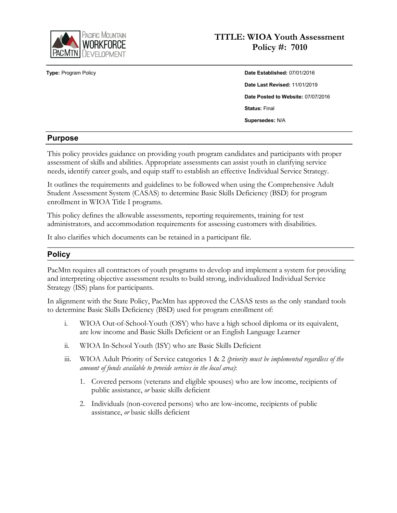

# **TITLE: WIOA Youth Assessment Policy #: 7010**

**Type:** Program Policy **Date Established:** 07/01/2016 **Date Last Revised:** 11/01/2019 **Date Posted to Website:** 07/07/2016 **Status:** Final **Supersedes:** N/A

### **Purpose**

This policy provides guidance on providing youth program candidates and participants with proper assessment of skills and abilities. Appropriate assessments can assist youth in clarifying service needs, identify career goals, and equip staff to establish an effective Individual Service Strategy.

It outlines the requirements and guidelines to be followed when using the Comprehensive Adult Student Assessment System (CASAS) to determine Basic Skills Deficiency (BSD) for program enrollment in WIOA Title I programs.

This policy defines the allowable assessments, reporting requirements, training for test administrators, and accommodation requirements for assessing customers with disabilities.

It also clarifies which documents can be retained in a participant file.

### **Policy**

PacMtn requires all contractors of youth programs to develop and implement a system for providing and interpreting objective assessment results to build strong, individualized Individual Service Strategy (ISS) plans for participants.

In alignment with the State Policy, PacMtn has approved the CASAS tests as the only standard tools to determine Basic Skills Deficiency (BSD) used for program enrollment of:

- i. WIOA Out-of-School-Youth (OSY) who have a high school diploma or its equivalent, are low income and Basic Skills Deficient or an English Language Learner
- ii. WIOA In-School Youth (ISY) who are Basic Skills Deficient
- iii. WIOA Adult Priority of Service categories 1 & 2 *(priority must be implemented regardless of the amount of funds available to provide services in the local area)*:
	- 1. Covered persons (veterans and eligible spouses) who are low income, recipients of public assistance, *or* basic skills deficient
	- 2. Individuals (non-covered persons) who are low-income, recipients of public assistance, *or* basic skills deficient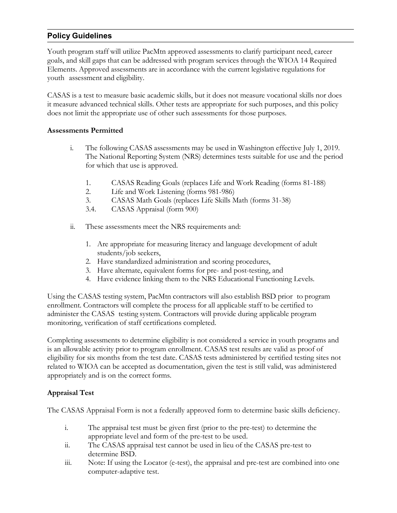## **Policy Guidelines**

Youth program staff will utilize PacMtn approved assessments to clarify participant need, career goals, and skill gaps that can be addressed with program services through the WIOA 14 Required Elements. Approved assessments are in accordance with the current legislative regulations for youth assessment and eligibility.

CASAS is a test to measure basic academic skills, but it does not measure vocational skills nor does it measure advanced technical skills. Other tests are appropriate for such purposes, and this policy does not limit the appropriate use of other such assessments for those purposes.

#### **Assessments Permitted**

- i. The following CASAS assessments may be used in Washington effective July 1, 2019. The National Reporting System (NRS) determines tests suitable for use and the period for which that use is approved.
	- 1. CASAS Reading Goals (replaces Life and Work Reading (forms 81-188)
	- 2. Life and Work Listening (forms 981-986)
	- 3. CASAS Math Goals (replaces Life Skills Math (forms 31-38)
	- 3.4. CASAS Appraisal (form 900)
- ii. These assessments meet the NRS requirements and:
	- 1. Are appropriate for measuring literacy and language development of adult students/job seekers,
	- 2. Have standardized administration and scoring procedures,
	- 3. Have alternate, equivalent forms for pre- and post-testing, and
	- 4. Have evidence linking them to the NRS Educational Functioning Levels.

Using the CASAS testing system, PacMtn contractors will also establish BSD prior to program enrollment. Contractors will complete the process for all applicable staff to be certified to administer the CASAS testing system. Contractors will provide during applicable program monitoring, verification of staff certifications completed.

Completing assessments to determine eligibility is not considered a service in youth programs and is an allowable activity prior to program enrollment. CASAS test results are valid as proof of eligibility for six months from the test date. CASAS tests administered by certified testing sites not related to WIOA can be accepted as documentation, given the test is still valid, was administered appropriately and is on the correct forms.

#### **Appraisal Test**

The CASAS Appraisal Form is not a federally approved form to determine basic skills deficiency.

- i. The appraisal test must be given first (prior to the pre-test) to determine the appropriate level and form of the pre-test to be used.
- ii. The CASAS appraisal test cannot be used in lieu of the CASAS pre-test to determine BSD.
- iii. Note: If using the Locator (e-test), the appraisal and pre-test are combined into one computer-adaptive test.